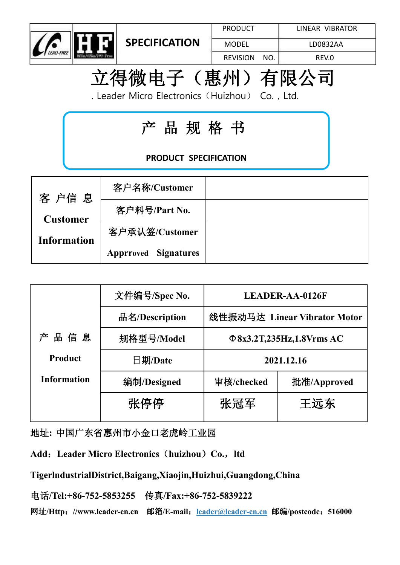



PRODUCT | LINEAR VIBRATOR

REVISION NO. REV.0 LD0832AA

# 立得微电子(惠州)有限公司

. Leader Micro Electronics (Huizhou) Co., Ltd.

## 产 品 规 格 书

### **PRODUCT SPECIFICATION**

| 客户信息               | 客户名称/Customer               |  |
|--------------------|-----------------------------|--|
| <b>Customer</b>    | 客户料号/Part No.               |  |
| <b>Information</b> | 客户承认签/Customer              |  |
|                    | <b>Apprroved Signatures</b> |  |

|             | 文件编号/Spec No.  |                                | <b>LEADER-AA-0126F</b>       |  |  |
|-------------|----------------|--------------------------------|------------------------------|--|--|
|             | 品名/Description |                                | 线性振动马达 Linear Vibrator Motor |  |  |
| 品信息<br>产    | 规格型号/Model     | $\Phi$ 8x3.2T,235Hz,1.8Vrms AC |                              |  |  |
| Product     | 日期/Date        | 2021.12.16                     |                              |  |  |
| Information | 编制/Designed    | 审核/checked                     | 批准/Approved                  |  |  |
|             | 张停停            | 张冠军                            | 王远东                          |  |  |
|             |                |                                |                              |  |  |

地址**:** 中国广东省惠州市小金口老虎岭工业园

**Add**:**Leader Micro Electronics**(**huizhou**)**Co.**,**ltd**

#### **TigerlndustrialDistrict,Baigang,Xiaojin,Huizhui,Guangdong,China**

电话**/Tel:+86-752-5853255** 传真**/Fax:+86-752-5839222**

网址**/Http**:**//www.leader-cn.cn** 邮箱**/E-mail**:**[leader@leader-cn.cn](mailto:leader@leader-cn.cn)** 邮编**/postcode**:**516000**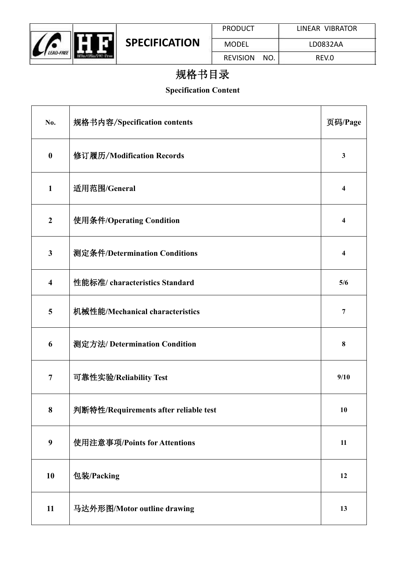

## 规格书目录

#### **Specification Content**

| No.                     | 规格书内容/Specification contents          | 页码/Page                 |  |
|-------------------------|---------------------------------------|-------------------------|--|
| $\boldsymbol{0}$        | 修订履历/Modification Records             | $\mathbf{3}$            |  |
| $\mathbf{1}$            | 适用范围/General                          | $\overline{\mathbf{4}}$ |  |
| $\boldsymbol{2}$        | 使用条件/Operating Condition              | $\overline{\mathbf{4}}$ |  |
| $\mathbf{3}$            | 测定条件/Determination Conditions         | 4                       |  |
| $\overline{\mathbf{4}}$ | 性能标准/ characteristics Standard        | 5/6                     |  |
| 5                       | 机械性能/Mechanical characteristics       | $\overline{7}$          |  |
| 6                       | 测定方法/Determination Condition          | $\bf{8}$                |  |
| 7                       | 可靠性实验/Reliability Test                | 9/10                    |  |
| 8                       | 判断特性/Requirements after reliable test | <b>10</b>               |  |
| $\boldsymbol{9}$        | 使用注意事项/Points for Attentions          | 11                      |  |
| 10                      | 包装/Packing                            | 12                      |  |
| $11\,$                  | 马达外形图/Motor outline drawing           | 13                      |  |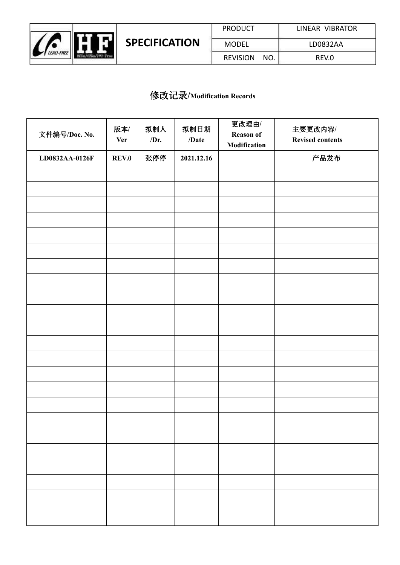

#### 修改记录**/Modification Records**

| 文件编号/Doc. No.  | 版本/<br><b>Ver</b> | 拟制人<br>/Dr. | 拟制日期<br>/Date | 更改理由/<br>Reason of<br>Modification | 主要更改内容/<br><b>Revised contents</b> |
|----------------|-------------------|-------------|---------------|------------------------------------|------------------------------------|
| LD0832AA-0126F | <b>REV.0</b>      | 张停停         | 2021.12.16    |                                    | 产品发布                               |
|                |                   |             |               |                                    |                                    |
|                |                   |             |               |                                    |                                    |
|                |                   |             |               |                                    |                                    |
|                |                   |             |               |                                    |                                    |
|                |                   |             |               |                                    |                                    |
|                |                   |             |               |                                    |                                    |
|                |                   |             |               |                                    |                                    |
|                |                   |             |               |                                    |                                    |
|                |                   |             |               |                                    |                                    |
|                |                   |             |               |                                    |                                    |
|                |                   |             |               |                                    |                                    |
|                |                   |             |               |                                    |                                    |
|                |                   |             |               |                                    |                                    |
|                |                   |             |               |                                    |                                    |
|                |                   |             |               |                                    |                                    |
|                |                   |             |               |                                    |                                    |
|                |                   |             |               |                                    |                                    |
|                |                   |             |               |                                    |                                    |
|                |                   |             |               |                                    |                                    |
|                |                   |             |               |                                    |                                    |
|                |                   |             |               |                                    |                                    |
|                |                   |             |               |                                    |                                    |
|                |                   |             |               |                                    |                                    |
|                |                   |             |               |                                    |                                    |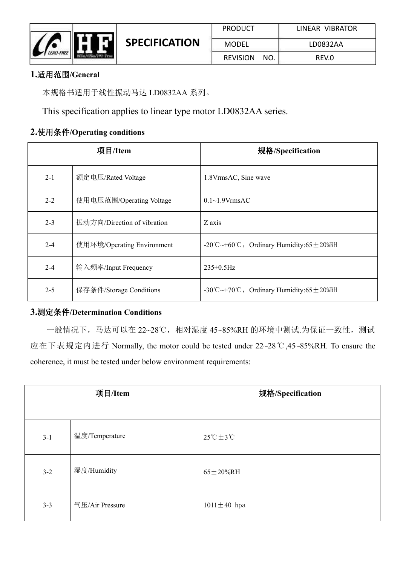

#### **1.**适用范围**/General**

本规格书适用于线性振动马达 LD0832AA 系列。

This specification applies to linear type motor LD0832AA series.

#### **2.**使用条件**/Operating conditions**

|         | 项目/Item                     | 规格/Specification                                  |
|---------|-----------------------------|---------------------------------------------------|
| $2 - 1$ | 额定电压/Rated Voltage          | 1.8VrmsAC, Sine wave                              |
| $2 - 2$ | 使用电压范围/Operating Voltage    | $0.1 \sim 1.9V$ rmsAC                             |
| $2 - 3$ | 振动方向/Direction of vibration | Z axis                                            |
| $2 - 4$ | 使用环境/Operating Environment  | -20°C ~ +60°C, Ordinary Humidity:65 $\pm$ 20%RH   |
| $2 - 4$ | 输入频率/Input Frequency        | $235 \pm 0.5$ Hz                                  |
| $2 - 5$ | 保存条件/Storage Conditions     | -30 °C ~ +70 °C, Ordinary Humidity:65 $\pm$ 20%RH |

#### **3.**测定条件**/Determination Conditions**

一般情况下,马达可以在 22~28℃,相对湿度 45~85%RH 的环境中测试.为保证一致性,测试 应在下表规定内进行 Normally, the motor could be tested under 22~28℃,45~85%RH. To ensure the coherence, it must be tested under below environment requirements:

|         | 项目/Item         | 规格/Specification                 |
|---------|-----------------|----------------------------------|
| $3-1$   | 温度/Temperature  | $25^{\circ}$ C $\pm 3^{\circ}$ C |
| $3-2$   | 湿度/Humidity     | $65 \pm 20\%$ RH                 |
| $3 - 3$ | 气压/Air Pressure | $1011 \pm 40$ hpa                |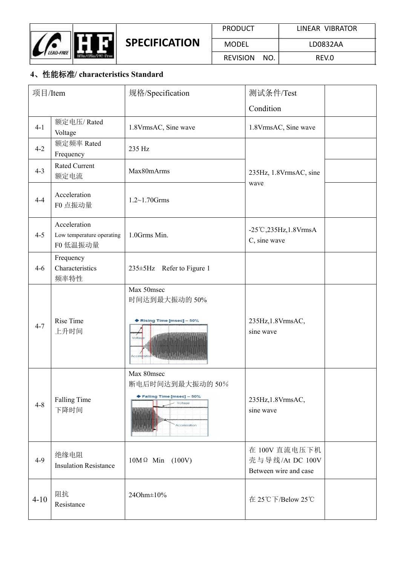

| <b>PRODUCT</b>  |     | LINEAR VIBRATOR |
|-----------------|-----|-----------------|
| <b>MODEL</b>    |     | LD0832AA        |
| <b>REVISION</b> | NO. | REV.O           |

#### **4**、性能标准**/ characteristics Standard**

| 项目/Item  |                                                       | 规格/Specification                                                                        | 测试条件/Test                                                 |  |
|----------|-------------------------------------------------------|-----------------------------------------------------------------------------------------|-----------------------------------------------------------|--|
|          |                                                       |                                                                                         | Condition                                                 |  |
| $4-1$    | 额定电压/Rated<br>Voltage                                 | 1.8VrmsAC, Sine wave                                                                    | 1.8VrmsAC, Sine wave                                      |  |
| $4 - 2$  | 额定频率 Rated<br>Frequency                               | 235 Hz                                                                                  |                                                           |  |
| $4 - 3$  | Rated Current<br>额定电流                                 | Max80mArms                                                                              | 235Hz, 1.8VrmsAC, sine<br>wave                            |  |
| $4 - 4$  | Acceleration<br>F0 点振动量                               | $1.2 \sim 1.70$ Grms                                                                    |                                                           |  |
| $4 - 5$  | Acceleration<br>Low temperature operating<br>F0 低温振动量 | 1.0Grms Min.                                                                            | -25°C, 235Hz, 1.8VrmsA<br>C, sine wave                    |  |
| $4-6$    | Frequency<br>Characteristics<br>频率特性                  | $235 \pm 5$ Hz Refer to Figure 1                                                        |                                                           |  |
| $4 - 7$  | Rise Time<br>上升时间                                     | Max 50msec<br>时间达到最大振动的50%<br>Rising Time [msec] - 50%<br>Voltas                        | 235Hz, 1.8VrmsAC,<br>sine wave                            |  |
| $4 - 8$  | <b>Falling Time</b><br>下降时间                           | Max 80msec<br>断电后时间达到最大振动的50%<br>◆ Falling Time [msec] - 50%<br>Voltage<br>Acceleration | 235Hz, 1.8VrmsAC,<br>sine wave                            |  |
| $4-9$    | 绝缘电阻<br><b>Insulation Resistance</b>                  | $10M \Omega$ Min (100V)                                                                 | 在 100V 直流电压下机<br>壳与导线/At DC 100V<br>Between wire and case |  |
| $4 - 10$ | 阻抗<br>Resistance                                      | 24Ohm±10%                                                                               | 在 25℃下/Below 25℃                                          |  |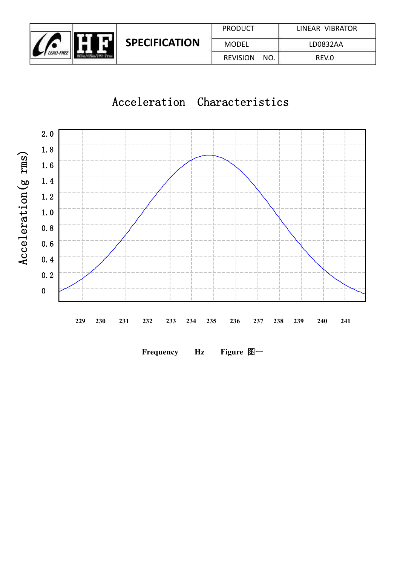

## Acceleration Characteristics



**Frequency Hz Figure** 图一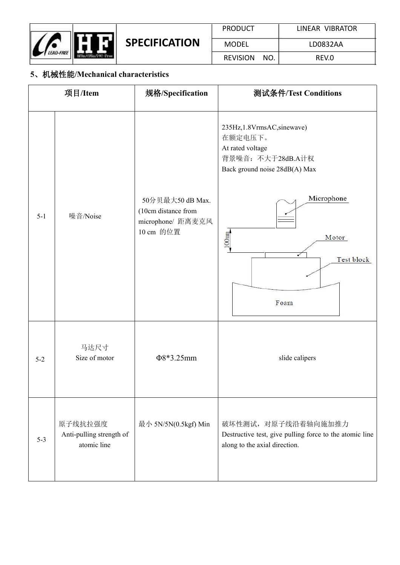

#### **5**、机械性能**/Mechanical characteristics**

|         | 项目/Item                                            | 规格/Specification                                                         | 测试条件/Test Conditions                                                                                                                                                            |
|---------|----------------------------------------------------|--------------------------------------------------------------------------|---------------------------------------------------------------------------------------------------------------------------------------------------------------------------------|
| $5-1$   | 噪音/Noise                                           | 50分贝最大50 dB Max.<br>(10cm distance from<br>microphone/距离麦克风<br>10 cm 的位置 | 235Hz, 1.8VrmsAC, sinewave)<br>在额定电压下。<br>At rated voltage<br>背景噪音: 不大于28dB.A计权<br>Back ground noise 28dB(A) Max<br>Microphone<br>100 <sub>mm</sub><br>Motor<br>✓<br>Test block |
| $5 - 2$ | 马达尺寸<br>Size of motor                              | $\Phi$ 8*3.25mm                                                          | Foam<br>slide calipers                                                                                                                                                          |
| $5-3$   | 原子线抗拉强度<br>Anti-pulling strength of<br>atomic line | 最小 5N/5N(0.5kgf) Min                                                     | 破坏性测试, 对原子线沿着轴向施加推力<br>Destructive test, give pulling force to the atomic line<br>along to the axial direction.                                                                 |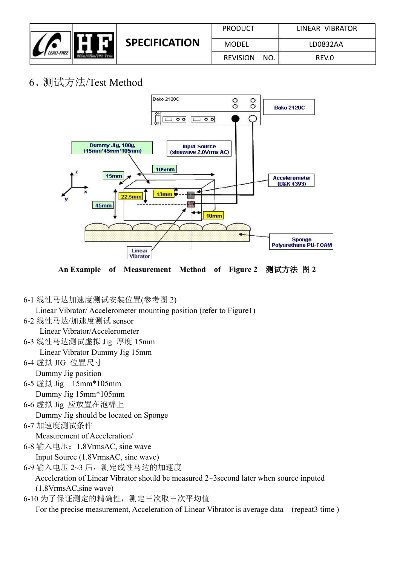

| <b>PRODUCT</b>  |     | LINEAR VIBRATOR |
|-----------------|-----|-----------------|
| <b>MODEL</b>    |     | LD0832AA        |
| <b>REVISION</b> | NO. | REV.O           |

## 6、测试方法/Test Method



**An Example of Measurement Method of Figure 2** 测试方法 图 **2**

6-1 线性马达加速度测试安装位置(参考图 2)

Linear Vibrator/ Accelerometer mounting position (refer to Figure1)

6-2 线性马达/加速度测试 sensor

Linear Vibrator/Accelerometer

- 6-3 线性马达测试虚拟 Jig 厚度 15mm
- Linear Vibrator Dummy Jig 15mm
- 6-4 虚拟 JIG 位置尺寸

Dummy Jig position

- 6-5 虚拟 Jig 15mm\*105mm Dummy Jig 15mm\*105mm
- $\mathbb{R}^n$ 6-6 虚拟 Jig 应放置在泡棉上

Dummy Jig should be located on Sponge

6-7 加速度测试条件

Measurement of Acceleration/

6-8 输入电压:1.8VrmsAC, sine wave Input Source (1.8VrmsAC, sine wave)

6-9 输入电压 2~3 后,测定线性马达的加速度 Acceleration of Linear Vibrator should be measured 2~3second later when source inputed (1.8VrmsAC,sine wave)

6-10 为了保证测定的精确性,测定三次取三次平均值

For the precise measurement, Acceleration of Linear Vibrator is average data (repeat3 time)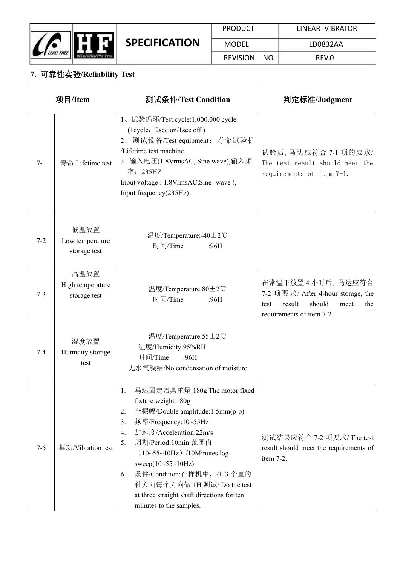

#### **7.** 可靠性实验**/Reliability Test**

|         | 项目/Item                                  | 测试条件/Test Condition                                                                                                                                                                                                                                                                                                                                                                                     | 判定标准/Judgment                                                                                                                  |  |
|---------|------------------------------------------|---------------------------------------------------------------------------------------------------------------------------------------------------------------------------------------------------------------------------------------------------------------------------------------------------------------------------------------------------------------------------------------------------------|--------------------------------------------------------------------------------------------------------------------------------|--|
| $7 - 1$ | 寿命 Lifetime test                         | 1、试验循环/Test cycle:1,000,000 cycle<br>(lcycle: 2sec on/1sec off)<br>2、测试设备/Test equipment: 寿命试验机<br>/Lifetime test machine.<br>3. 输入电压(1.8VrmsAC, Sine wave),输入频<br>率: 235HZ<br>Input voltage: 1.8VrmsAC, Sine -wave),<br>Input frequency(235Hz)                                                                                                                                                         | 试验后,马达应符合 7-1 项的要求/<br>The test result should meet the<br>requirements of item 7-1.                                            |  |
| $7 - 2$ | 低温放置<br>Low temperature<br>storage test  | 温度/Temperature:-40±2℃<br>时间/Time<br>:96H                                                                                                                                                                                                                                                                                                                                                                |                                                                                                                                |  |
| $7 - 3$ | 高温放置<br>High temperature<br>storage test | 温度/Temperature:80±2℃<br>时间/Time<br>:96H                                                                                                                                                                                                                                                                                                                                                                 | 在常温下放置4小时后,马达应符合<br>7-2 项要求/ After 4-hour storage, the<br>result<br>should<br>the<br>meet<br>test<br>requirements of item 7-2. |  |
| $7 - 4$ | 湿度放置<br>Humidity storage<br>test         | 温度/Temperature:55±2℃<br>湿度/Humidity:95%RH<br>时间/Time<br>:96H<br>无水气凝结/No condensation of moisture                                                                                                                                                                                                                                                                                                       |                                                                                                                                |  |
| $7 - 5$ | 振动/Vibration test                        | 马达固定治具重量 180g The motor fixed<br>1.<br>fixture weight 180g<br>全振幅/Double amplitude:1.5mm(p-p)<br>2.<br>频率/Frequency:10~55Hz<br>3.<br>加速度/Acceleration:22m/s<br>4.<br>周期/Period:10min 范围内<br>5.<br>$(10-55-10Hz)$ /10Minutes log<br>sweep $(10 - 55 - 10)$ Hz)<br>条件/Condition:在样机中, 在3个直的<br>6.<br>轴方向每个方向做 1H 测试/ Do the test<br>at three straight shaft directions for ten<br>minutes to the samples. | 测试结果应符合 7-2 项要求/ The test<br>result should meet the requirements of<br>item 7-2.                                               |  |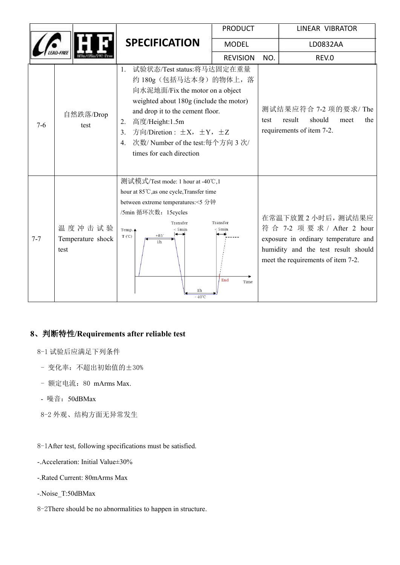|         |                                     | <b>PRODUCT</b>                                                                                                                                                                                                                                                                                                         |                                   | LINEAR VIBRATOR |                                                                                                                                                                       |
|---------|-------------------------------------|------------------------------------------------------------------------------------------------------------------------------------------------------------------------------------------------------------------------------------------------------------------------------------------------------------------------|-----------------------------------|-----------------|-----------------------------------------------------------------------------------------------------------------------------------------------------------------------|
|         |                                     | <b>SPECIFICATION</b>                                                                                                                                                                                                                                                                                                   | <b>MODEL</b>                      |                 | LD0832AA                                                                                                                                                              |
|         |                                     |                                                                                                                                                                                                                                                                                                                        | <b>REVISION</b>                   | NO.             | REV.0                                                                                                                                                                 |
| $7-6$   | 自然跌落/Drop<br>test                   | 试验状态/Test status:将马达固定在重量<br>约 180g (包括马达本身) 的物体上, 落<br>向水泥地面/Fix the motor on a object<br>weighted about 180g (include the motor)<br>and drop it to the cement floor.<br>高度/Height:1.5m<br>2.<br>方向/Diretion : $\pm X$ , $\pm Y$ , $\pm Z$<br>3.<br>次数/Number of the test:每个方向 3 次/<br>4.<br>times for each direction |                                   | test            | 测试结果应符合 7-2 项的要求/ The<br>should<br>result<br>meet<br>the<br>requirements of item 7-2.                                                                                 |
| $7 - 7$ | 温度冲击试验<br>Temperature shock<br>test | 测试模式/Test mode: 1 hour at -40℃,1<br>hour at 85°C, as one cycle, Transfer time<br>between extreme temperatures:<5 分钟<br>/5min 循环次数: 15cycles<br>Transfer<br>Temp. $\triangle$<br>< 5min<br>$T(^{\circ}C)$<br>$+85$<br>1 <sub>h</sub><br>1h<br>$-40^{\circ}$ C                                                           | Transfer<br>< 5min<br>End<br>Time |                 | 在常温下放置 2 小时后, 测试结果应<br>符合 7-2 项要求 / After 2 hour<br>exposure in ordinary temperature and<br>humidity and the test result should<br>meet the requirements of item 7-2. |

#### **8**、判断特性**/Requirements after reliable test**

- 8-1 试验后应满足下列条件
- 变化率:不超出初始值的±30%
- 额定电流: 80 mArms Max.
- 噪音:50dBMax
- 8-2 外观、结构方面无异常发生

8-1After test, following specifications must be satisfied.

- -.Acceleration: Initial Value±30%
- -.Rated Current: 80mArms Max
- -.Noise\_T:50dBMax
- 8-2There should be no abnormalities to happen in structure.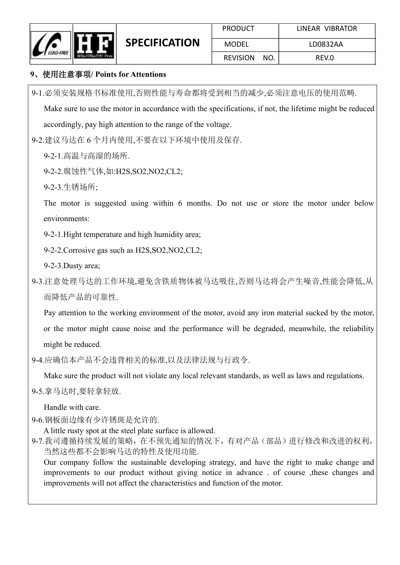

#### **9**、使用注意事项**/ Points for Attentions**

9-1.必须安装规格书标准使用,否则性能与寿命都将受到相当的减少,必须注意电压的使用范畴.

Make sure to use the motor in accordance with the specifications, if not, the lifetime might be reduced accordingly, pay high attention to the range of the voltage.

9-2.建议马达在 6 个月内使用,不要在以下环境中使用及保存.

- 9-2-1.高温与高湿的场所.
- 9-2-2.腐蚀性气体,如:H2S,SO2,NO2,CL2;
- 9-2-3.生锈场所;

The motor is suggested using within 6 months. Do not use or store the motor under below environments:

9-2-1.Hight temperature and high humidity area;

9-2-2.Corrosive gas such as H2S,SO2,NO2,CL2;

9-2-3.Dusty area;

9-3.注意处理马达的工作环境,避免含铁质物体被马达吸住,否则马达将会产生噪音,性能会降低,从 而降低产品的可靠性.

Pay attention to the working environment of the motor, avoid any iron material sucked by the motor,

or the motor might cause noise and the performance will be degraded, meanwhile, the reliability

might be reduced.<br>9-4.应确信本产品不会违背相关的标准,以及法律法规与行政令.

Make sure the product will not violate any local relevant standards, as well as laws and regulations.

9-5.拿马达时,要轻拿轻放.

Handle with care.

9-6.钢板面边缘有少许锈斑是允许的.

A little rusty spot at the steel plate surface is allowed.

9-7.我司遵循持续发展的策略,在不预先通知的情况下,有对产品(部品)进行修改和改进的权利, 当然这些都不会影响马达的特性及使用功能.

Our company follow the sustainable developing strategy, and have the right to make change and improvements to our product without giving notice in advance . of course ,these changes and improvements will not affect the characteristics and function of the motor.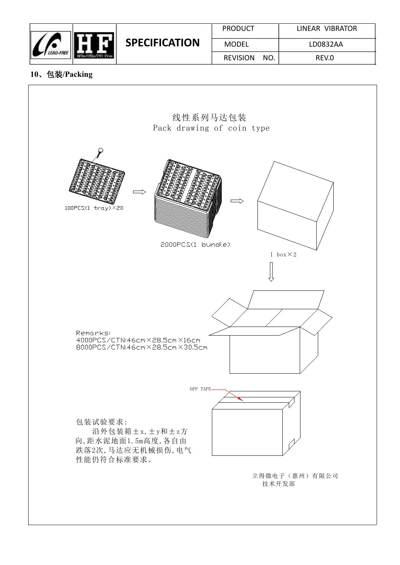

**SPECIFICATION**

| <b>PRODUCT</b>  |     | LINEAR VIBRATOR |
|-----------------|-----|-----------------|
| <b>MODEL</b>    |     | LD0832AA        |
| <b>REVISION</b> | NO. | REV.O           |

#### **10**、包装**/Packing**